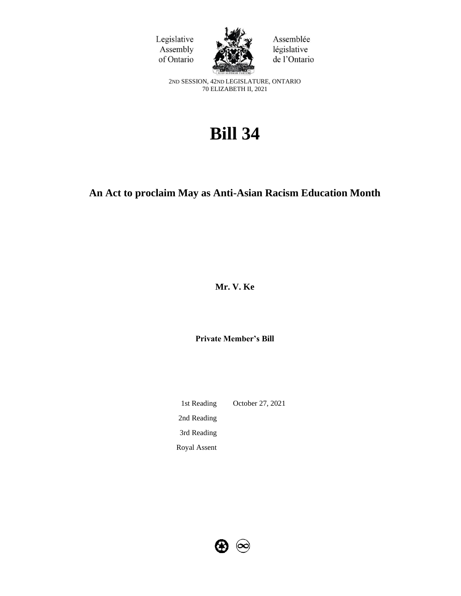



Assemblée législative de l'Ontario

2ND SESSION, 42ND LEGISLATURE, ONTARIO 70 ELIZABETH II, 2021

# **Bill 34**

# **An Act to proclaim May as Anti-Asian Racism Education Month**

**Mr. V. Ke** 

**Private Member's Bill**

1st Reading October 27, 2021 2nd Reading 3rd Reading Royal Assent